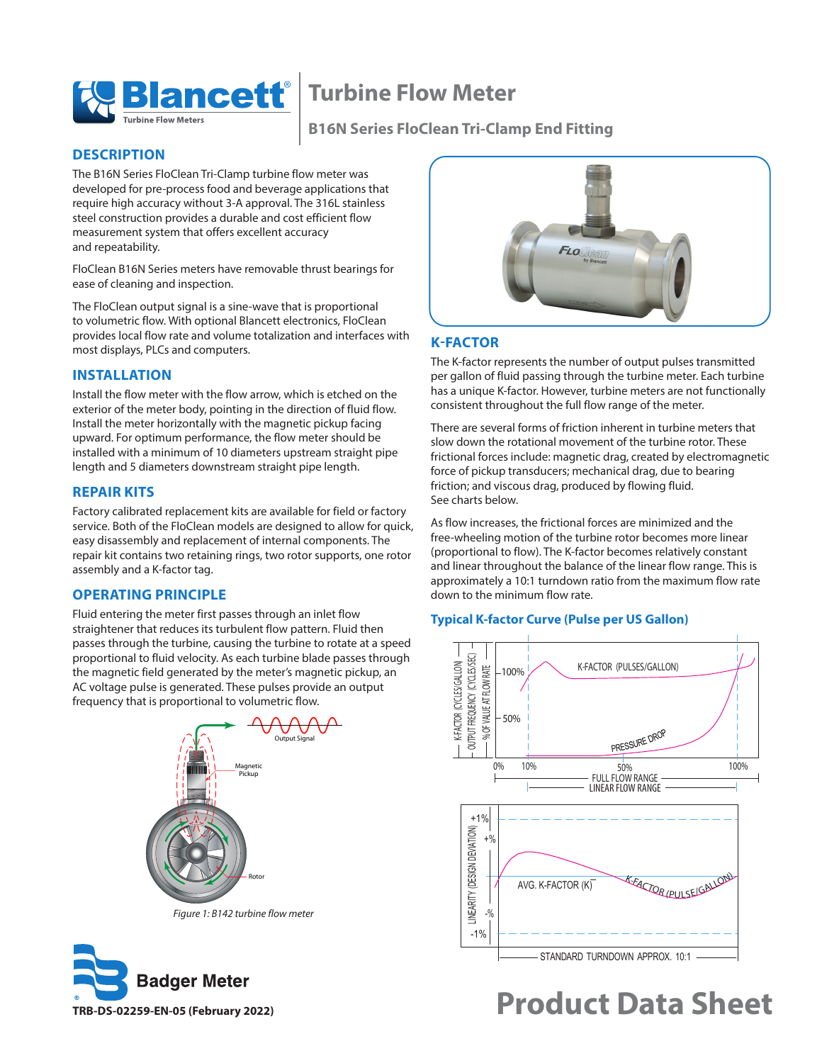

## **Turbine Flow Meter**

### **B16N Series FloClean Tri-Clamp End Fitting**

### **DESCRIPTION**

The B16N Series FloClean Tri-Clamp turbine flow meter was developed for pre-process food and beverage applications that require high accuracy without 3-A approval. The 316L stainless steel construction provides a durable and cost efficient flow measurement system that offers excellent accuracy and repeatability.

FloClean B16N Series meters have removable thrust bearings for ease of cleaning and inspection.

The FloClean output signal is a sine-wave that is proportional to volumetric flow. With optional Blancett electronics, FloClean provides local flow rate and volume totalization and interfaces with most displays, PLCs and computers.

### **INSTALLATION**

Install the flow meter with the flow arrow, which is etched on the exterior of the meter body, pointing in the direction of fluid flow. Install the meter horizontally with the magnetic pickup facing upward. For optimum performance, the flow meter should be installed with a minimum of 10 diameters upstream straight pipe length and 5 diameters downstream straight pipe length.

### **REPAIR KITS**

Factory calibrated replacement kits are available for field or factory service. Both of the FloClean models are designed to allow for quick, easy disassembly and replacement of internal components. The repair kit contains two retaining rings, two rotor supports, one rotor assembly and a K-factor tag.

### **OPERATING PRINCIPLE**

Fluid entering the meter first passes through an inlet flow straightener that reduces its turbulent flow pattern. Fluid then passes through the turbine, causing the turbine to rotate at a speed proportional to fluid velocity. As each turbine blade passes through the magnetic field generated by the meter's magnetic pickup, an AC voltage pulse is generated. These pulses provide an output frequency that is proportional to volumetric flow.



*Figure 1: B142 turbine flow meter*





### **K-FACTOR**

The K-factor represents the number of output pulses transmitted per gallon of fluid passing through the turbine meter. Each turbine has a unique K-factor. However, turbine meters are not functionally consistent throughout the full flow range of the meter.

There are several forms of friction inherent in turbine meters that slow down the rotational movement of the turbine rotor. These frictional forces include: magnetic drag, created by electromagnetic force of pickup transducers; mechanical drag, due to bearing friction; and viscous drag, produced by flowing fluid. See charts below.

As flow increases, the frictional forces are minimized and the free-wheeling motion of the turbine rotor becomes more linear (proportional to flow). The K-factor becomes relatively constant and linear throughout the balance of the linear flow range. This is approximately a 10:1 turndown ratio from the maximum flow rate down to the minimum flow rate.

### **Typical K-factor Curve (Pulse per US Gallon)**



# **Product Data Sheet**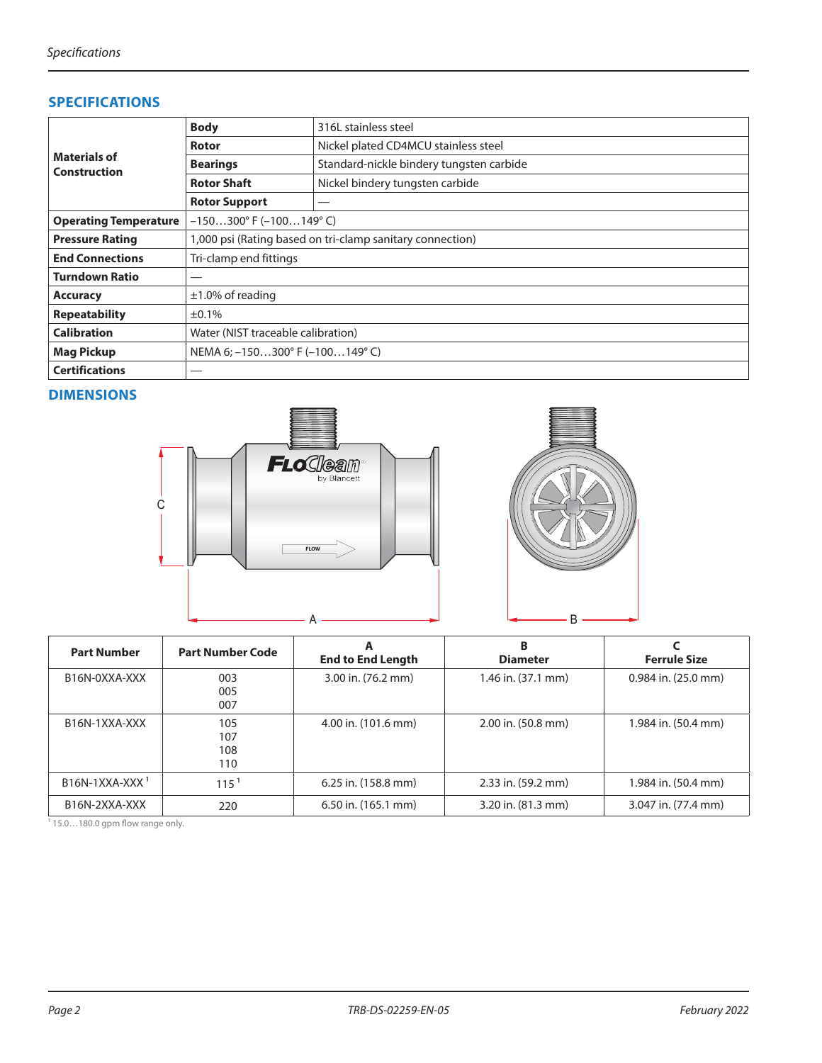### **SPECIFICATIONS**

| <b>Materials of</b><br><b>Construction</b> | <b>Body</b><br>316L stainless steel                       |                                          |  |  |  |  |
|--------------------------------------------|-----------------------------------------------------------|------------------------------------------|--|--|--|--|
|                                            | Nickel plated CD4MCU stainless steel<br><b>Rotor</b>      |                                          |  |  |  |  |
|                                            | <b>Bearings</b>                                           | Standard-nickle bindery tungsten carbide |  |  |  |  |
|                                            | <b>Rotor Shaft</b>                                        | Nickel bindery tungsten carbide          |  |  |  |  |
|                                            | <b>Rotor Support</b>                                      |                                          |  |  |  |  |
| <b>Operating Temperature</b>               | $-150300^{\circ}$ F ( $-100149^{\circ}$ C)                |                                          |  |  |  |  |
| <b>Pressure Rating</b>                     | 1,000 psi (Rating based on tri-clamp sanitary connection) |                                          |  |  |  |  |
| <b>End Connections</b>                     | Tri-clamp end fittings                                    |                                          |  |  |  |  |
| <b>Turndown Ratio</b>                      |                                                           |                                          |  |  |  |  |
| <b>Accuracy</b>                            | $\pm$ 1.0% of reading                                     |                                          |  |  |  |  |
| <b>Repeatability</b>                       | $±0.1\%$                                                  |                                          |  |  |  |  |
| <b>Calibration</b>                         | Water (NIST traceable calibration)                        |                                          |  |  |  |  |
| <b>Mag Pickup</b>                          | NEMA 6; $-150300^{\circ}$ F ( $-100149^{\circ}$ C)        |                                          |  |  |  |  |
| <b>Certifications</b>                      |                                                           |                                          |  |  |  |  |

### **DIMENSIONS**



| <b>Part Number</b>         | <b>Part Number Code</b>  | A<br><b>End to End Length</b> | В<br><b>Diameter</b> | <b>Ferrule Size</b> |
|----------------------------|--------------------------|-------------------------------|----------------------|---------------------|
| B16N-0XXA-XXX              | 003<br>005<br>007        | 3.00 in. (76.2 mm)            | 1.46 in. (37.1 mm)   | 0.984 in. (25.0 mm) |
| B <sub>16</sub> N-1XXA-XXX | 105<br>107<br>108<br>110 | 4.00 in. (101.6 mm)           | 2.00 in. (50.8 mm)   | 1.984 in. (50.4 mm) |
| $B16N-1XXA-XXX1$           | 115 <sup>1</sup>         | 6.25 in. (158.8 mm)           | 2.33 in. (59.2 mm)   | 1.984 in. (50.4 mm) |
| B <sub>16</sub> N-2XXA-XXX | 220                      | 6.50 in. (165.1 mm)           | 3.20 in. (81.3 mm)   | 3.047 in. (77.4 mm) |

 $115.0...180.0$  gpm flow range only.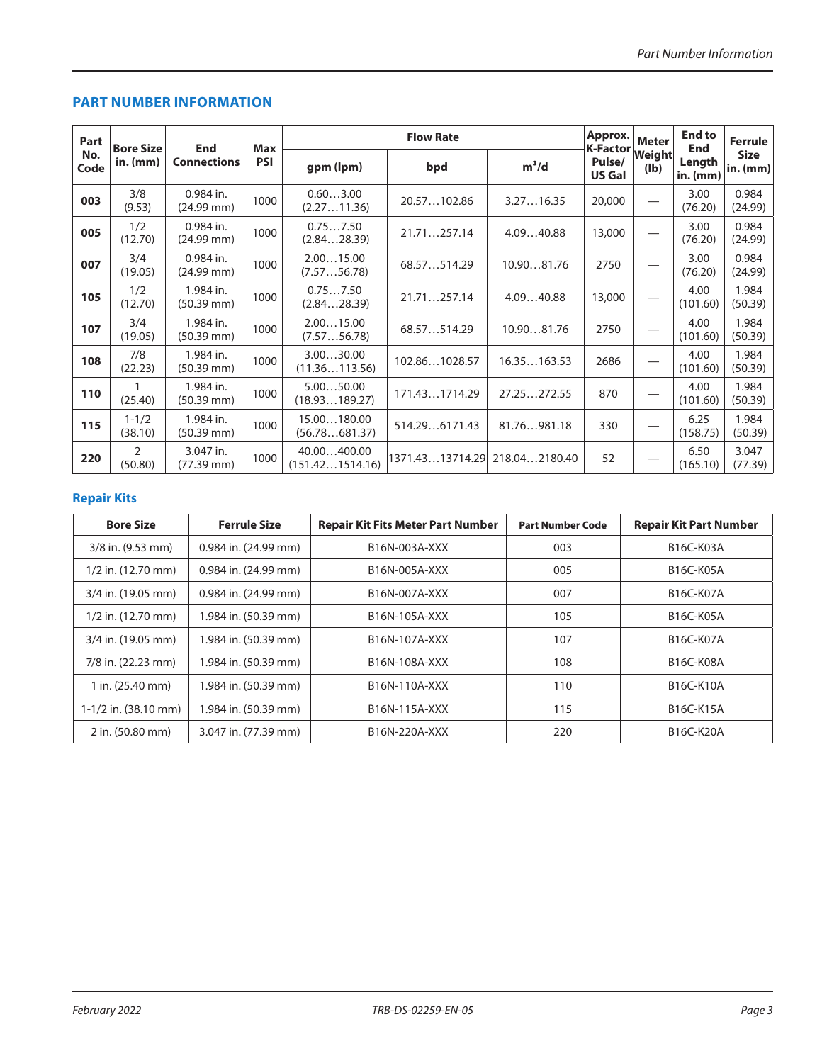### **PART NUMBER INFORMATION**

| Part        | <b>Bore Size</b>     | <b>End</b><br><b>Connections</b>    | <b>Max</b> | <b>Flow Rate</b>               |                 |               | Approx.                             | <b>Meter</b>   | <b>End to</b><br><b>End</b> | <b>Ferrule</b>          |
|-------------|----------------------|-------------------------------------|------------|--------------------------------|-----------------|---------------|-------------------------------------|----------------|-----------------------------|-------------------------|
| No.<br>Code | in. $(mm)$           |                                     | <b>PSI</b> | gpm (lpm)                      | bpd             | $m^3/d$       | K-Factor<br>Pulse/<br><b>US Gal</b> | Weight<br>(Ib) | Length<br>$in.$ (mm)        | <b>Size</b><br>in. (mm) |
| 003         | 3/8<br>(9.53)        | 0.984 in.<br>$(24.99$ mm $)$        | 1000       | 0.603.00<br>(2.2711.36)        | 20.57102.86     | 3.2716.35     | 20,000                              |                | 3.00<br>(76.20)             | 0.984<br>(24.99)        |
| 005         | 1/2<br>(12.70)       | 0.984 in.<br>$(24.99 \, \text{mm})$ | 1000       | 0.757.50<br>(2.8428.39)        | 21.71257.14     | 4.0940.88     | 13,000                              |                | 3.00<br>(76.20)             | 0.984<br>(24.99)        |
| 007         | 3/4<br>(19.05)       | 0.984 in.<br>$(24.99$ mm $)$        | 1000       | 2.0015.00<br>(7.5756.78)       | 68.57514.29     | 10.9081.76    | 2750                                |                | 3.00<br>(76.20)             | 0.984<br>(24.99)        |
| 105         | 1/2<br>(12.70)       | 1.984 in.<br>$(50.39 \, \text{mm})$ | 1000       | 0.757.50<br>(2.8428.39)        | 21.71257.14     | 4.0940.88     | 13,000                              |                | 4.00<br>(101.60)            | 1.984<br>(50.39)        |
| 107         | 3/4<br>(19.05)       | 1.984 in.<br>$(50.39 \, \text{mm})$ | 1000       | 2.0015.00<br>(7.5756.78)       | 68.57514.29     | 10.9081.76    | 2750                                |                | 4.00<br>(101.60)            | 1.984<br>(50.39)        |
| 108         | 7/8<br>(22.23)       | 1.984 in.<br>$(50.39 \text{ mm})$   | 1000       | 3.0030.00<br>(11.36113.56)     | 102.861028.57   | 16.35163.53   | 2686                                |                | 4.00<br>(101.60)            | 1.984<br>(50.39)        |
| 110         | (25.40)              | 1.984 in.<br>$(50.39 \, \text{mm})$ | 1000       | 5.0050.00<br>(18.93189.27)     | 171.431714.29   | 27.25272.55   | 870                                 |                | 4.00<br>(101.60)            | 1.984<br>(50.39)        |
| 115         | $1 - 1/2$<br>(38.10) | 1.984 in.<br>$(50.39 \text{ mm})$   | 1000       | 15.00180.00<br>(56.78681.37)   | 514.296171.43   | 81.76981.18   | 330                                 |                | 6.25<br>(158.75)            | 1.984<br>(50.39)        |
| 220         | 2<br>(50.80)         | 3.047 in.<br>(77.39 mm)             | 1000       | 40.00400.00<br>(151.421514.16) | 1371.4313714.29 | 218.042180.40 | 52                                  |                | 6.50<br>(165.10)            | 3.047<br>(77.39)        |

### **Repair Kits**

| <b>Bore Size</b>           | <b>Ferrule Size</b>      | <b>Repair Kit Fits Meter Part Number</b> | <b>Part Number Code</b> | <b>Repair Kit Part Number</b> |
|----------------------------|--------------------------|------------------------------------------|-------------------------|-------------------------------|
| 3/8 in. (9.53 mm)          | $0.984$ in. $(24.99$ mm) | B16N-003A-XXX                            | 003                     | <b>B16C-K03A</b>              |
| $1/2$ in. $(12.70$ mm)     | 0.984 in. (24.99 mm)     | B16N-005A-XXX                            | 005                     | <b>B16C-K05A</b>              |
| 3/4 in. (19.05 mm)         | $0.984$ in. $(24.99$ mm) | B16N-007A-XXX                            | 007                     | <b>B16C-K07A</b>              |
| $1/2$ in. $(12.70$ mm)     | 1.984 in. (50.39 mm)     | B16N-105A-XXX                            | 105                     | B16C-K05A                     |
| 3/4 in. (19.05 mm)         | 1.984 in. (50.39 mm)     | B16N-107A-XXX                            | 107                     | <b>B16C-K07A</b>              |
| 7/8 in. (22.23 mm)         | 1.984 in. (50.39 mm)     | B16N-108A-XXX                            | 108                     | <b>B16C-K08A</b>              |
| 1 in. $(25.40 \text{ mm})$ | 1.984 in. (50.39 mm)     | B16N-110A-XXX                            | 110                     | B16C-K10A                     |
| $1-1/2$ in. (38.10 mm)     | 1.984 in. (50.39 mm)     | B16N-115A-XXX                            | 115                     | <b>B16C-K15A</b>              |
| 2 in. (50.80 mm)           | 3.047 in. (77.39 mm)     | B16N-220A-XXX                            | 220                     | <b>B16C-K20A</b>              |